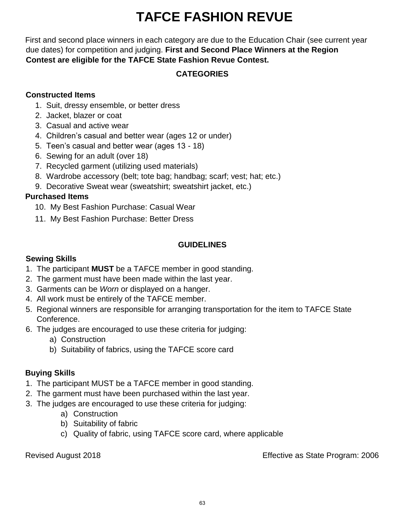# **TAFCE FASHION REVUE**

First and second place winners in each category are due to the Education Chair (see current year due dates) for competition and judging. **First and Second Place Winners at the Region Contest are eligible for the TAFCE State Fashion Revue Contest.** 

## **CATEGORIES**

#### **Constructed Items**

- 1. Suit, dressy ensemble, or better dress
- 2. Jacket, blazer or coat
- 3. Casual and active wear
- 4. Children's casual and better wear (ages 12 or under)
- 5. Teen's casual and better wear (ages 13 18)
- 6. Sewing for an adult (over 18)
- 7. Recycled garment (utilizing used materials)
- 8. Wardrobe accessory (belt; tote bag; handbag; scarf; vest; hat; etc.)
- 9. Decorative Sweat wear (sweatshirt; sweatshirt jacket, etc.)

## **Purchased Items**

- 10. My Best Fashion Purchase: Casual Wear
- 11. My Best Fashion Purchase: Better Dress

## **GUIDELINES**

#### **Sewing Skills**

- 1. The participant **MUST** be a TAFCE member in good standing.
- 2. The garment must have been made within the last year.
- 3. Garments can be *Worn* or displayed on a hanger.
- 4. All work must be entirely of the TAFCE member.
- 5. Regional winners are responsible for arranging transportation for the item to TAFCE State Conference.
- 6. The judges are encouraged to use these criteria for judging:
	- a) Construction
	- b) Suitability of fabrics, using the TAFCE score card

## **Buying Skills**

- 1. The participant MUST be a TAFCE member in good standing.
- 2. The garment must have been purchased within the last year.
- 3. The judges are encouraged to use these criteria for judging:
	- a) Construction
	- b) Suitability of fabric
	- c) Quality of fabric, using TAFCE score card, where applicable

Revised August 2018 Effective as State Program: 2006